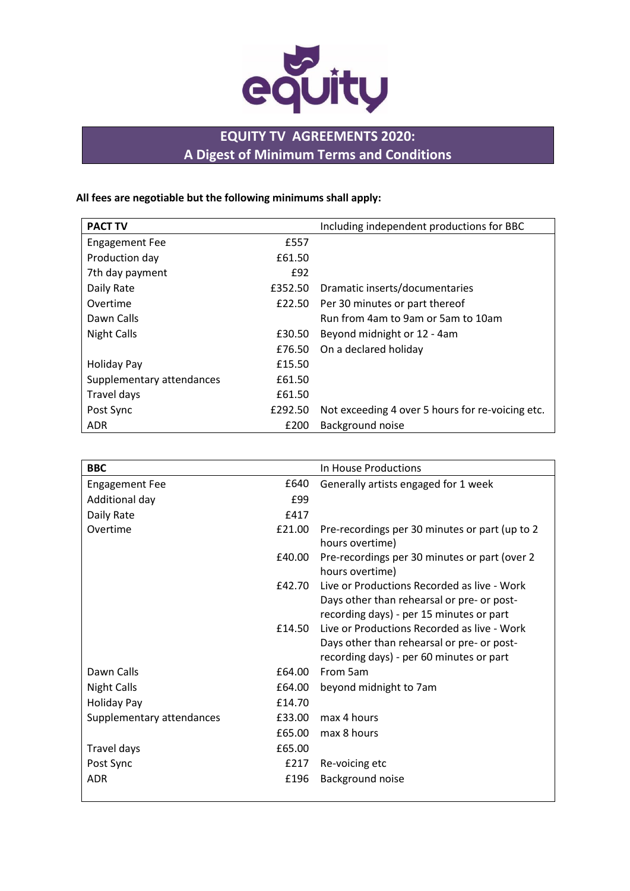

# **EQUITY TV AGREEMENTS 2020: A Digest of Minimum Terms and Conditions**

**All fees are negotiable but the following minimums shall apply:**

| <b>PACT TV</b>            |         | Including independent productions for BBC        |
|---------------------------|---------|--------------------------------------------------|
| <b>Engagement Fee</b>     | £557    |                                                  |
| Production day            | £61.50  |                                                  |
| 7th day payment           | £92     |                                                  |
| Daily Rate                | £352.50 | Dramatic inserts/documentaries                   |
| Overtime                  | £22.50  | Per 30 minutes or part thereof                   |
| Dawn Calls                |         | Run from 4am to 9am or 5am to 10am               |
| <b>Night Calls</b>        | £30.50  | Beyond midnight or 12 - 4am                      |
|                           | £76.50  | On a declared holiday                            |
| <b>Holiday Pay</b>        | £15.50  |                                                  |
| Supplementary attendances | £61.50  |                                                  |
| Travel days               | £61.50  |                                                  |
| Post Sync                 | £292.50 | Not exceeding 4 over 5 hours for re-voicing etc. |
| ADR.                      | £200    | Background noise                                 |

| <b>BBC</b>                |        | In House Productions                                                                                                                  |
|---------------------------|--------|---------------------------------------------------------------------------------------------------------------------------------------|
| <b>Engagement Fee</b>     | £640   | Generally artists engaged for 1 week                                                                                                  |
| Additional day            | £99    |                                                                                                                                       |
| Daily Rate                | £417   |                                                                                                                                       |
| Overtime                  | £21.00 | Pre-recordings per 30 minutes or part (up to 2)<br>hours overtime)                                                                    |
|                           | £40.00 | Pre-recordings per 30 minutes or part (over 2)<br>hours overtime)                                                                     |
|                           | £42.70 | Live or Productions Recorded as live - Work<br>Days other than rehearsal or pre- or post-<br>recording days) - per 15 minutes or part |
|                           | £14.50 | Live or Productions Recorded as live - Work<br>Days other than rehearsal or pre- or post-<br>recording days) - per 60 minutes or part |
| Dawn Calls                | £64.00 | From 5am                                                                                                                              |
| <b>Night Calls</b>        | £64.00 | beyond midnight to 7am                                                                                                                |
| <b>Holiday Pay</b>        | £14.70 |                                                                                                                                       |
| Supplementary attendances | £33.00 | max 4 hours                                                                                                                           |
|                           | £65.00 | max 8 hours                                                                                                                           |
| Travel days               | £65.00 |                                                                                                                                       |
| Post Sync                 | £217   | Re-voicing etc                                                                                                                        |
| <b>ADR</b>                | £196   | Background noise                                                                                                                      |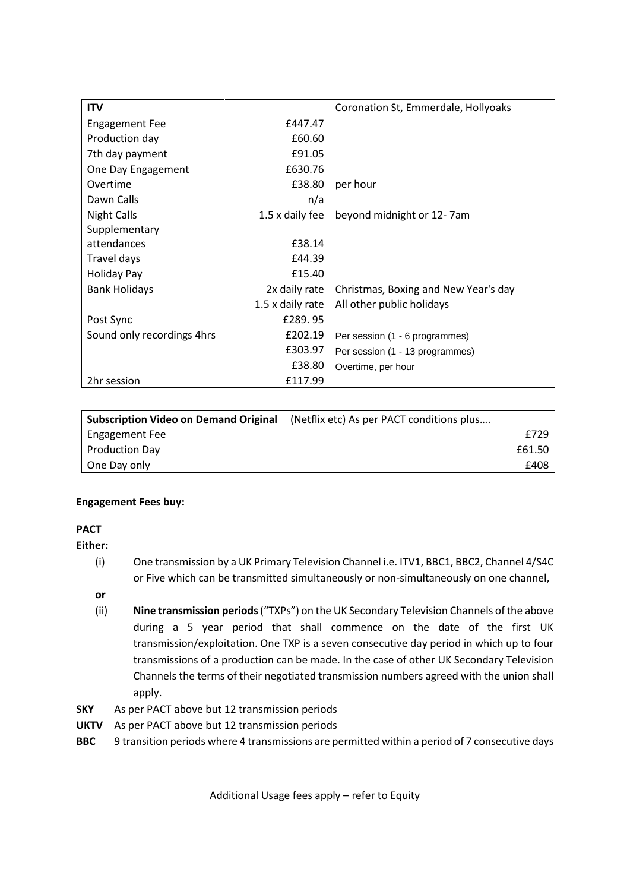| <b>ITV</b>                 |                  | Coronation St, Emmerdale, Hollyoaks  |
|----------------------------|------------------|--------------------------------------|
| <b>Engagement Fee</b>      | £447.47          |                                      |
| Production day             | £60.60           |                                      |
| 7th day payment            | £91.05           |                                      |
| One Day Engagement         | £630.76          |                                      |
| Overtime                   | £38.80           | per hour                             |
| Dawn Calls                 | n/a              |                                      |
| <b>Night Calls</b>         | 1.5 x daily fee  | beyond midnight or 12-7am            |
| Supplementary              |                  |                                      |
| attendances                | £38.14           |                                      |
| Travel days                | £44.39           |                                      |
| <b>Holiday Pay</b>         | £15.40           |                                      |
| <b>Bank Holidays</b>       | 2x daily rate    | Christmas, Boxing and New Year's day |
|                            | 1.5 x daily rate | All other public holidays            |
| Post Sync                  | £289.95          |                                      |
| Sound only recordings 4hrs | £202.19          | Per session (1 - 6 programmes)       |
|                            | £303.97          | Per session (1 - 13 programmes)      |
|                            | £38.80           | Overtime, per hour                   |
| 2hr session                | £117.99          |                                      |

| <b>Subscription Video on Demand Original</b> | (Netflix etc) As per PACT conditions plus |        |
|----------------------------------------------|-------------------------------------------|--------|
| Engagement Fee                               |                                           | £729   |
| <b>Production Day</b>                        |                                           | £61.50 |
| One Day only                                 |                                           | £408   |

### **Engagement Fees buy:**

### **PACT**

**Either:**

(i) One transmission by a UK Primary Television Channel i.e. ITV1, BBC1, BBC2, Channel 4/S4C or Five which can be transmitted simultaneously or non-simultaneously on one channel,

**or**

- (ii) **Nine transmission periods** ("TXPs") on the UK Secondary Television Channels of the above during a 5 year period that shall commence on the date of the first UK transmission/exploitation. One TXP is a seven consecutive day period in which up to four transmissions of a production can be made. In the case of other UK Secondary Television Channels the terms of their negotiated transmission numbers agreed with the union shall apply.
- **SKY** As per PACT above but 12 transmission periods
- **UKTV** As per PACT above but 12 transmission periods
- **BBC** 9 transition periods where 4 transmissions are permitted within a period of 7 consecutive days

Additional Usage fees apply – refer to Equity